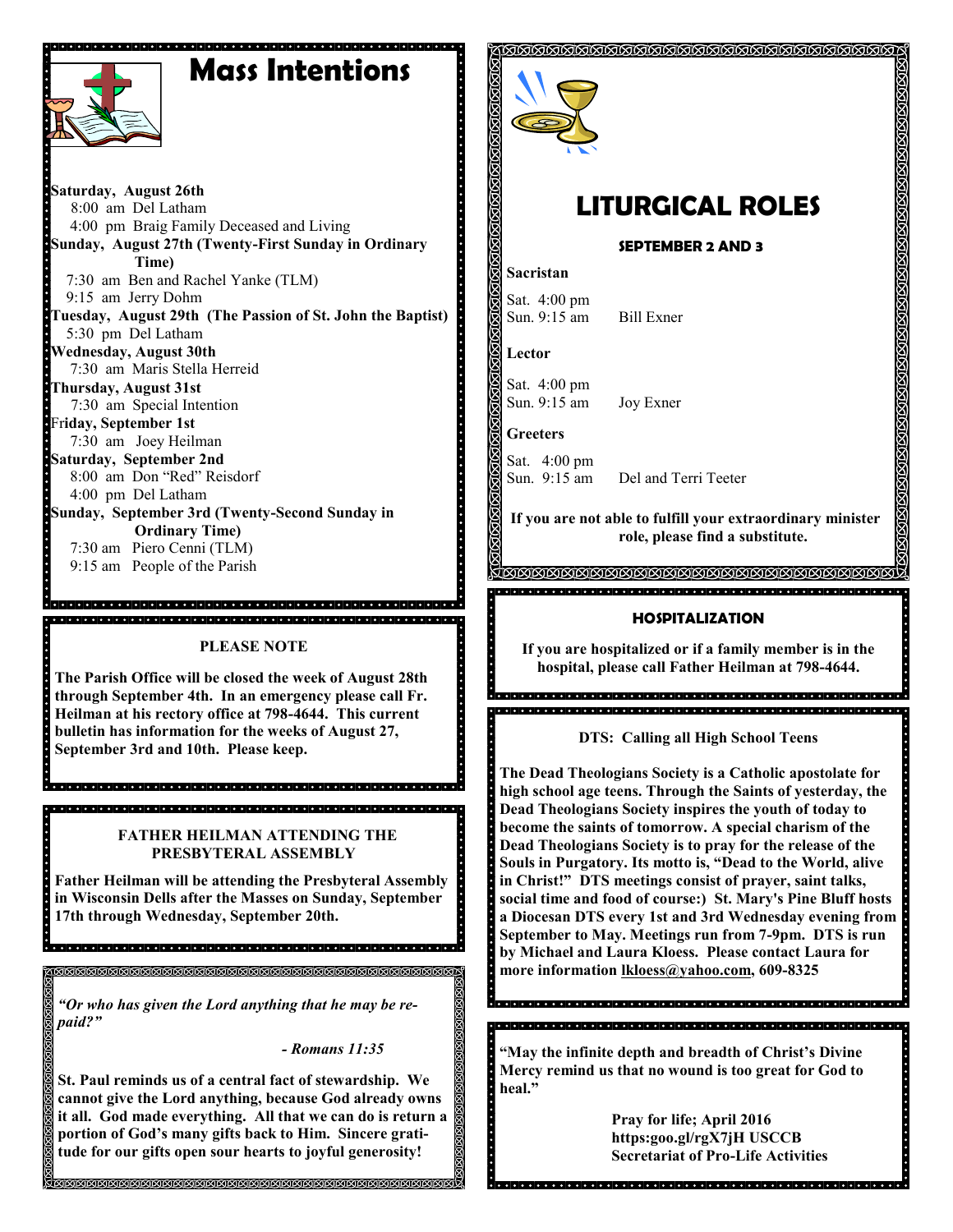# **Mass Intentions**



 $\overline{\phantom{a}}$ 

**Saturday, August 26th**  8:00 am Del Latham 4:00 pm Braig Family Deceased and Living **Sunday, August 27th (Twenty-First Sunday in Ordinary Time)** 7:30 am Ben and Rachel Yanke (TLM) 9:15 am Jerry Dohm **Tuesday, August 29th (The Passion of St. John the Baptist)** 5:30 pm Del Latham **Wednesday, August 30th** 7:30 am Maris Stella Herreid **Thursday, August 31st**  7:30 am Special Intention Fr**iday, September 1st** 7:30 am Joey Heilman **Saturday, September 2nd** 8:00 am Don "Red" Reisdorf 4:00 pm Del Latham **Sunday, September 3rd (Twenty-Second Sunday in Ordinary Time)** 7:30 am Piero Cenni (TLM) 9:15 am People of the Parish

## **PLEASE NOTE**

**The Parish Office will be closed the week of August 28th through September 4th. In an emergency please call Fr. Heilman at his rectory office at 798-4644. This current bulletin has information for the weeks of August 27, September 3rd and 10th. Please keep.** 

de dele del ploto del dio del ciolo del ciolo del ciolo del ciolo del ciolo del ciolo del ciolo del ciolo del cio

19 Januari 19 Januari 19 Januari 19 Januari 19 Januari 19 Januari 19 Januari 19 Januari 19 Januari 19 Januari

 **FATHER HEILMAN ATTENDING THE PRESBYTERAL ASSEMBLY** 

**Father Heilman will be attending the Presbyteral Assembly in Wisconsin Dells after the Masses on Sunday, September 17th through Wednesday, September 20th.** 

*"Or who has given the Lord anything that he may be repaid?"*

*- Romans 11:35*

**St. Paul reminds us of a central fact of stewardship. We cannot give the Lord anything, because God already owns it all. God made everything. All that we can do is return a portion of God's many gifts back to Him. Sincere gratitude for our gifts open sour hearts to joyful generosity!**



# **LITURGICAL ROLES**

KIKIKIKIKIKIKIKIKIKIKIKIKI

**SEPTEMBER 2 AND 3**

### **Sacristan**

Sat. 4:00 pm Sun. 9:15 am Bill Exner

**Lector**

Sat. 4:00 pm Sun. 9:15 am Joy Exner

**Greeters**

Sat. 4:00 pm<br>Sun. 9:15 am Del and Terri Teeter

**If you are not able to fulfill your extraordinary minister role, please find a substitute.** 

## **HOSPITALIZATION**

**If you are hospitalized or if a family member is in the hospital, please call Father Heilman at 798-4644.**

**DTS: Calling all High School Teens**

**The Dead Theologians Society is a Catholic apostolate for high school age teens. Through the Saints of yesterday, the Dead Theologians Society inspires the youth of today to become the saints of tomorrow. A special charism of the Dead Theologians Society is to pray for the release of the Souls in Purgatory. Its motto is, "Dead to the World, alive in Christ!" DTS meetings consist of prayer, saint talks, social time and food of course:) St. Mary's Pine Bluff hosts a Diocesan DTS every 1st and 3rd Wednesday evening from September to May. Meetings run from 7-9pm. DTS is run by Michael and Laura Kloess. Please contact Laura for more information [lkloess@yahoo.com,](mailto:lkloess@yahoo.com) 609-8325**

**"May the infinite depth and breadth of Christ's Divine Mercy remind us that no wound is too great for God to**   $\ddot{\cdot}$ **heal."**

**Pray for life; April 2016 https:goo.gl/rgX7jH USCCB Secretariat of Pro-Life Activities**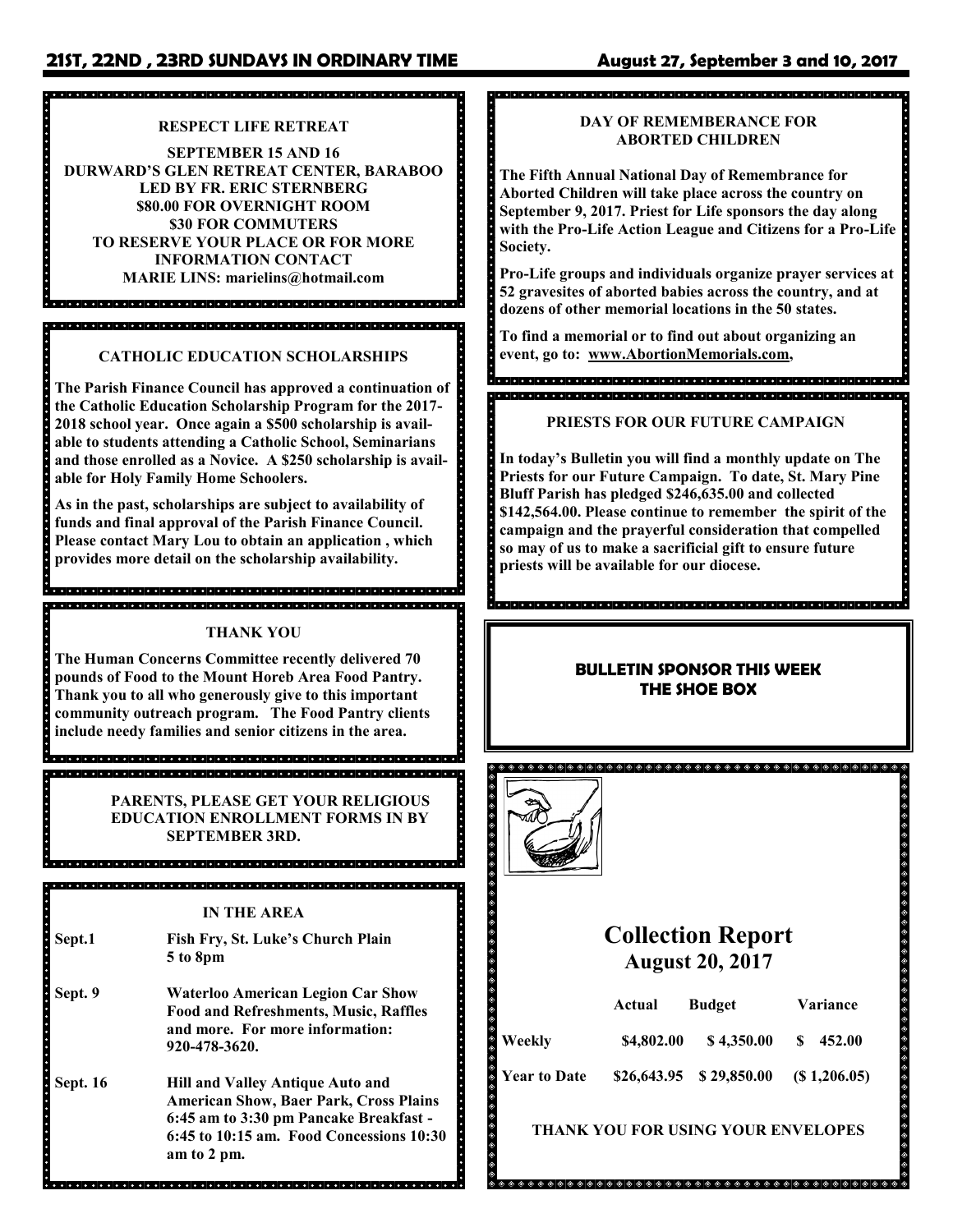# **21ST, 22ND , 23RD SUNDAYS IN ORDINARY TIME August 27, September 3 and 10, 2017**

# .<br>2009 - 2009 - 2009 - 2009 - 2009 - 2009 - 2009 - 2009 - 2009 - 2009 - 2009 - 2009 - 2009 - 2009 - 2009 - 2009

## **RESPECT LIFE RETREAT**

**SEPTEMBER 15 AND 16 DURWARD'S GLEN RETREAT CENTER, BARABOO LED BY FR. ERIC STERNBERG \$80.00 FOR OVERNIGHT ROOM \$30 FOR COMMUTERS TO RESERVE YOUR PLACE OR FOR MORE INFORMATION CONTACT MARIE LINS: marielins@hotmail.com**

# **CATHOLIC EDUCATION SCHOLARSHIPS**

**The Parish Finance Council has approved a continuation of the Catholic Education Scholarship Program for the 2017- 2018 school year. Once again a \$500 scholarship is available to students attending a Catholic School, Seminarians and those enrolled as a Novice. A \$250 scholarship is available for Holy Family Home Schoolers.**

**As in the past, scholarships are subject to availability of funds and final approval of the Parish Finance Council. Please contact Mary Lou to obtain an application , which provides more detail on the scholarship availability.** 

## **THANK YOU**

**The Human Concerns Committee recently delivered 70 pounds of Food to the Mount Horeb Area Food Pantry. Thank you to all who generously give to this important community outreach program. The Food Pantry clients include needy families and senior citizens in the area.** 

> **PARENTS, PLEASE GET YOUR RELIGIOUS EDUCATION ENROLLMENT FORMS IN BY SEPTEMBER 3RD.**

#### **IN THE AREA**

<u>a el argela de al de de al de al del argela de al del argela de al de de al de al de al de al de al de al</u>

- **Sept.1 Fish Fry, St. Luke's Church Plain 5 to 8pm**
- **Sept. 9 Waterloo American Legion Car Show Food and Refreshments, Music, Raffles and more. For more information: 920-478-3620.**
- **Sept. 16 Hill and Valley Antique Auto and American Show, Baer Park, Cross Plains 6:45 am to 3:30 pm Pancake Breakfast - 6:45 to 10:15 am. Food Concessions 10:30 am to 2 pm.**

# , a de del del de la ciencia de la ciencia de la ciencia de la ciencia de la ciencia de la ciencia.

### **DAY OF REMEMBERANCE FOR ABORTED CHILDREN**

**The Fifth Annual National Day of Remembrance for Aborted Children will take place across the country on September 9, 2017. Priest for Life sponsors the day along with the Pro-Life Action League and Citizens for a Pro-Life Society.** 

**Pro-Life groups and individuals organize prayer services at 52 gravesites of aborted babies across the country, and at dozens of other memorial locations in the 50 states.**

**To find a memorial or to find out about organizing an event, go to: www.AbortionMemorials.com,**

#### **PRIESTS FOR OUR FUTURE CAMPAIGN**

**In today's Bulletin you will find a monthly update on The Priests for our Future Campaign. To date, St. Mary Pine Bluff Parish has pledged \$246,635.00 and collected \$142,564.00. Please continue to remember the spirit of the campaign and the prayerful consideration that compelled so may of us to make a sacrificial gift to ensure future priests will be available for our diocese.** 

### **BULLETIN SPONSOR THIS WEEK THE SHOE BOX**



# **Collection Report August 20, 2017**

|                     | Actual     | <b>Budget</b>                 | <b>Variance</b> |
|---------------------|------------|-------------------------------|-----------------|
| Weekly              | \$4,802.00 | \$4,350.00                    | \$452.00        |
| <b>Year to Date</b> |            | $$26,643.95 \quad $29,850.00$ | (S1,206.05)     |

## **THANK YOU FOR USING YOUR ENVELOPES**